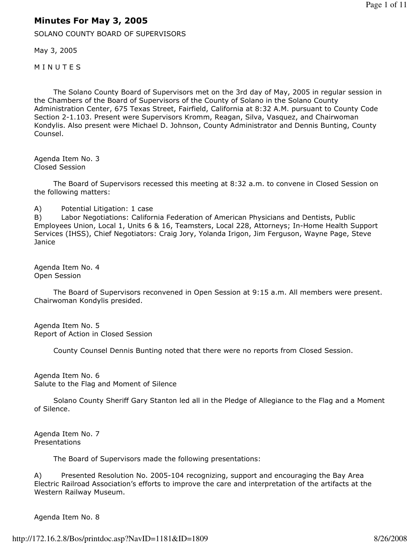## Minutes For May 3, 2005

SOLANO COUNTY BOARD OF SUPERVISORS

May 3, 2005

**MINUTES** 

 The Solano County Board of Supervisors met on the 3rd day of May, 2005 in regular session in the Chambers of the Board of Supervisors of the County of Solano in the Solano County Administration Center, 675 Texas Street, Fairfield, California at 8:32 A.M. pursuant to County Code Section 2-1.103. Present were Supervisors Kromm, Reagan, Silva, Vasquez, and Chairwoman Kondylis. Also present were Michael D. Johnson, County Administrator and Dennis Bunting, County Counsel.

Agenda Item No. 3 Closed Session

 The Board of Supervisors recessed this meeting at 8:32 a.m. to convene in Closed Session on the following matters:

A) Potential Litigation: 1 case

B) Labor Negotiations: California Federation of American Physicians and Dentists, Public Employees Union, Local 1, Units 6 & 16, Teamsters, Local 228, Attorneys; In-Home Health Support Services (IHSS), Chief Negotiators: Craig Jory, Yolanda Irigon, Jim Ferguson, Wayne Page, Steve **Janice** 

Agenda Item No. 4 Open Session

 The Board of Supervisors reconvened in Open Session at 9:15 a.m. All members were present. Chairwoman Kondylis presided.

Agenda Item No. 5 Report of Action in Closed Session

County Counsel Dennis Bunting noted that there were no reports from Closed Session.

Agenda Item No. 6 Salute to the Flag and Moment of Silence

 Solano County Sheriff Gary Stanton led all in the Pledge of Allegiance to the Flag and a Moment of Silence.

Agenda Item No. 7 Presentations

The Board of Supervisors made the following presentations:

A) Presented Resolution No. 2005-104 recognizing, support and encouraging the Bay Area Electric Railroad Association's efforts to improve the care and interpretation of the artifacts at the Western Railway Museum.

Agenda Item No. 8

http://172.16.2.8/Bos/printdoc.asp?NavID=1181&ID=1809 8/26/2008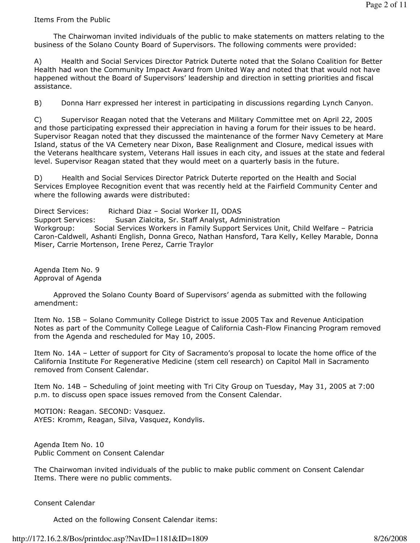## Items From the Public

 The Chairwoman invited individuals of the public to make statements on matters relating to the business of the Solano County Board of Supervisors. The following comments were provided:

A) Health and Social Services Director Patrick Duterte noted that the Solano Coalition for Better Health had won the Community Impact Award from United Way and noted that that would not have happened without the Board of Supervisors' leadership and direction in setting priorities and fiscal assistance.

B) Donna Harr expressed her interest in participating in discussions regarding Lynch Canyon.

C) Supervisor Reagan noted that the Veterans and Military Committee met on April 22, 2005 and those participating expressed their appreciation in having a forum for their issues to be heard. Supervisor Reagan noted that they discussed the maintenance of the former Navy Cemetery at Mare Island, status of the VA Cemetery near Dixon, Base Realignment and Closure, medical issues with the Veterans healthcare system, Veterans Hall issues in each city, and issues at the state and federal level. Supervisor Reagan stated that they would meet on a quarterly basis in the future.

D) Health and Social Services Director Patrick Duterte reported on the Health and Social Services Employee Recognition event that was recently held at the Fairfield Community Center and where the following awards were distributed:

Direct Services: Richard Diaz – Social Worker II, ODAS Support Services: Susan Zialcita, Sr. Staff Analyst, Administration Workgroup: Social Services Workers in Family Support Services Unit, Child Welfare – Patricia Caron-Caldwell, Ashanti English, Donna Greco, Nathan Hansford, Tara Kelly, Kelley Marable, Donna Miser, Carrie Mortenson, Irene Perez, Carrie Traylor

Agenda Item No. 9 Approval of Agenda

 Approved the Solano County Board of Supervisors' agenda as submitted with the following amendment:

Item No. 15B – Solano Community College District to issue 2005 Tax and Revenue Anticipation Notes as part of the Community College League of California Cash-Flow Financing Program removed from the Agenda and rescheduled for May 10, 2005.

Item No. 14A – Letter of support for City of Sacramento's proposal to locate the home office of the California Institute For Regenerative Medicine (stem cell research) on Capitol Mall in Sacramento removed from Consent Calendar.

Item No. 14B – Scheduling of joint meeting with Tri City Group on Tuesday, May 31, 2005 at 7:00 p.m. to discuss open space issues removed from the Consent Calendar.

MOTION: Reagan. SECOND: Vasquez. AYES: Kromm, Reagan, Silva, Vasquez, Kondylis.

Agenda Item No. 10 Public Comment on Consent Calendar

The Chairwoman invited individuals of the public to make public comment on Consent Calendar Items. There were no public comments.

Consent Calendar

Acted on the following Consent Calendar items: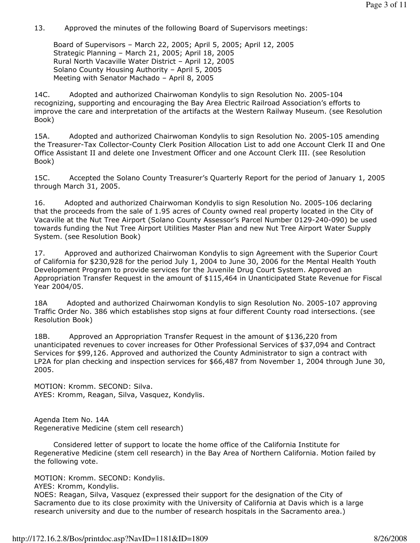13. Approved the minutes of the following Board of Supervisors meetings:

 Board of Supervisors – March 22, 2005; April 5, 2005; April 12, 2005 Strategic Planning – March 21, 2005; April 18, 2005 Rural North Vacaville Water District – April 12, 2005 Solano County Housing Authority – April 5, 2005 Meeting with Senator Machado – April 8, 2005

14C. Adopted and authorized Chairwoman Kondylis to sign Resolution No. 2005-104 recognizing, supporting and encouraging the Bay Area Electric Railroad Association's efforts to improve the care and interpretation of the artifacts at the Western Railway Museum. (see Resolution Book)

15A. Adopted and authorized Chairwoman Kondylis to sign Resolution No. 2005-105 amending the Treasurer-Tax Collector-County Clerk Position Allocation List to add one Account Clerk II and One Office Assistant II and delete one Investment Officer and one Account Clerk III. (see Resolution Book)

15C. Accepted the Solano County Treasurer's Quarterly Report for the period of January 1, 2005 through March 31, 2005.

16. Adopted and authorized Chairwoman Kondylis to sign Resolution No. 2005-106 declaring that the proceeds from the sale of 1.95 acres of County owned real property located in the City of Vacaville at the Nut Tree Airport (Solano County Assessor's Parcel Number 0129-240-090) be used towards funding the Nut Tree Airport Utilities Master Plan and new Nut Tree Airport Water Supply System. (see Resolution Book)

17. Approved and authorized Chairwoman Kondylis to sign Agreement with the Superior Court of California for \$230,928 for the period July 1, 2004 to June 30, 2006 for the Mental Health Youth Development Program to provide services for the Juvenile Drug Court System. Approved an Appropriation Transfer Request in the amount of \$115,464 in Unanticipated State Revenue for Fiscal Year 2004/05.

18A Adopted and authorized Chairwoman Kondylis to sign Resolution No. 2005-107 approving Traffic Order No. 386 which establishes stop signs at four different County road intersections. (see Resolution Book)

18B. Approved an Appropriation Transfer Request in the amount of \$136,220 from unanticipated revenues to cover increases for Other Professional Services of \$37,094 and Contract Services for \$99,126. Approved and authorized the County Administrator to sign a contract with LP2A for plan checking and inspection services for \$66,487 from November 1, 2004 through June 30, 2005.

MOTION: Kromm. SECOND: Silva. AYES: Kromm, Reagan, Silva, Vasquez, Kondylis.

Agenda Item No. 14A Regenerative Medicine (stem cell research)

 Considered letter of support to locate the home office of the California Institute for Regenerative Medicine (stem cell research) in the Bay Area of Northern California. Motion failed by the following vote.

MOTION: Kromm. SECOND: Kondylis.

AYES: Kromm, Kondylis.

NOES: Reagan, Silva, Vasquez (expressed their support for the designation of the City of Sacramento due to its close proximity with the University of California at Davis which is a large research university and due to the number of research hospitals in the Sacramento area.)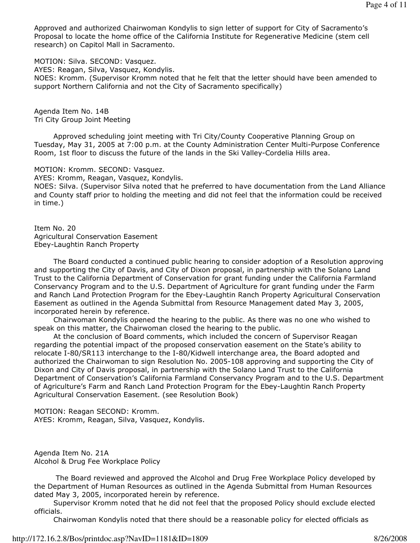Approved and authorized Chairwoman Kondylis to sign letter of support for City of Sacramento's Proposal to locate the home office of the California Institute for Regenerative Medicine (stem cell research) on Capitol Mall in Sacramento.

MOTION: Silva. SECOND: Vasquez.

AYES: Reagan, Silva, Vasquez, Kondylis.

NOES: Kromm. (Supervisor Kromm noted that he felt that the letter should have been amended to support Northern California and not the City of Sacramento specifically)

Agenda Item No. 14B Tri City Group Joint Meeting

 Approved scheduling joint meeting with Tri City/County Cooperative Planning Group on Tuesday, May 31, 2005 at 7:00 p.m. at the County Administration Center Multi-Purpose Conference Room, 1st floor to discuss the future of the lands in the Ski Valley-Cordelia Hills area.

MOTION: Kromm. SECOND: Vasquez.

AYES: Kromm, Reagan, Vasquez, Kondylis.

NOES: Silva. (Supervisor Silva noted that he preferred to have documentation from the Land Alliance and County staff prior to holding the meeting and did not feel that the information could be received in time.)

Item No. 20 Agricultural Conservation Easement Ebey-Laughtin Ranch Property

 The Board conducted a continued public hearing to consider adoption of a Resolution approving and supporting the City of Davis, and City of Dixon proposal, in partnership with the Solano Land Trust to the California Department of Conservation for grant funding under the California Farmland Conservancy Program and to the U.S. Department of Agriculture for grant funding under the Farm and Ranch Land Protection Program for the Ebey-Laughtin Ranch Property Agricultural Conservation Easement as outlined in the Agenda Submittal from Resource Management dated May 3, 2005, incorporated herein by reference.

 Chairwoman Kondylis opened the hearing to the public. As there was no one who wished to speak on this matter, the Chairwoman closed the hearing to the public.

 At the conclusion of Board comments, which included the concern of Supervisor Reagan regarding the potential impact of the proposed conservation easement on the State's ability to relocate I-80/SR113 interchange to the I-80/Kidwell interchange area, the Board adopted and authorized the Chairwoman to sign Resolution No. 2005-108 approving and supporting the City of Dixon and City of Davis proposal, in partnership with the Solano Land Trust to the California Department of Conservation's California Farmland Conservancy Program and to the U.S. Department of Agriculture's Farm and Ranch Land Protection Program for the Ebey-Laughtin Ranch Property Agricultural Conservation Easement. (see Resolution Book)

MOTION: Reagan SECOND: Kromm. AYES: Kromm, Reagan, Silva, Vasquez, Kondylis.

Agenda Item No. 21A Alcohol & Drug Fee Workplace Policy

 The Board reviewed and approved the Alcohol and Drug Free Workplace Policy developed by the Department of Human Resources as outlined in the Agenda Submittal from Human Resources dated May 3, 2005, incorporated herein by reference.

 Supervisor Kromm noted that he did not feel that the proposed Policy should exclude elected officials.

Chairwoman Kondylis noted that there should be a reasonable policy for elected officials as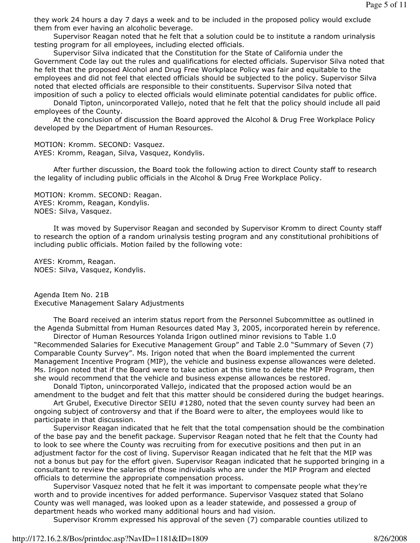they work 24 hours a day 7 days a week and to be included in the proposed policy would exclude them from ever having an alcoholic beverage.

 Supervisor Reagan noted that he felt that a solution could be to institute a random urinalysis testing program for all employees, including elected officials.

 Supervisor Silva indicated that the Constitution for the State of California under the Government Code lay out the rules and qualifications for elected officials. Supervisor Silva noted that he felt that the proposed Alcohol and Drug Free Workplace Policy was fair and equitable to the employees and did not feel that elected officials should be subjected to the policy. Supervisor Silva noted that elected officials are responsible to their constituents. Supervisor Silva noted that imposition of such a policy to elected officials would eliminate potential candidates for public office.

 Donald Tipton, unincorporated Vallejo, noted that he felt that the policy should include all paid employees of the County.

 At the conclusion of discussion the Board approved the Alcohol & Drug Free Workplace Policy developed by the Department of Human Resources.

MOTION: Kromm. SECOND: Vasquez. AYES: Kromm, Reagan, Silva, Vasquez, Kondylis.

 After further discussion, the Board took the following action to direct County staff to research the legality of including public officials in the Alcohol & Drug Free Workplace Policy.

MOTION: Kromm. SECOND: Reagan. AYES: Kromm, Reagan, Kondylis. NOES: Silva, Vasquez.

 It was moved by Supervisor Reagan and seconded by Supervisor Kromm to direct County staff to research the option of a random urinalysis testing program and any constitutional prohibitions of including public officials. Motion failed by the following vote:

AYES: Kromm, Reagan. NOES: Silva, Vasquez, Kondylis.

Agenda Item No. 21B Executive Management Salary Adjustments

 The Board received an interim status report from the Personnel Subcommittee as outlined in the Agenda Submittal from Human Resources dated May 3, 2005, incorporated herein by reference.

 Director of Human Resources Yolanda Irigon outlined minor revisions to Table 1.0 "Recommended Salaries for Executive Management Group" and Table 2.0 "Summary of Seven (7) Comparable County Survey". Ms. Irigon noted that when the Board implemented the current Management Incentive Program (MIP), the vehicle and business expense allowances were deleted. Ms. Irigon noted that if the Board were to take action at this time to delete the MIP Program, then she would recommend that the vehicle and business expense allowances be restored.

 Donald Tipton, unincorporated Vallejo, indicated that the proposed action would be an amendment to the budget and felt that this matter should be considered during the budget hearings.

Art Grubel, Executive Director SEIU #1280, noted that the seven county survey had been an ongoing subject of controversy and that if the Board were to alter, the employees would like to participate in that discussion.

 Supervisor Reagan indicated that he felt that the total compensation should be the combination of the base pay and the benefit package. Supervisor Reagan noted that he felt that the County had to look to see where the County was recruiting from for executive positions and then put in an adjustment factor for the cost of living. Supervisor Reagan indicated that he felt that the MIP was not a bonus but pay for the effort given. Supervisor Reagan indicated that he supported bringing in a consultant to review the salaries of those individuals who are under the MIP Program and elected officials to determine the appropriate compensation process.

 Supervisor Vasquez noted that he felt it was important to compensate people what they're worth and to provide incentives for added performance. Supervisor Vasquez stated that Solano County was well managed, was looked upon as a leader statewide, and possessed a group of department heads who worked many additional hours and had vision.

Supervisor Kromm expressed his approval of the seven (7) comparable counties utilized to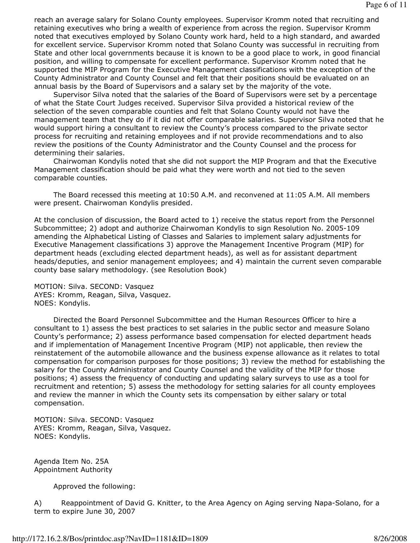reach an average salary for Solano County employees. Supervisor Kromm noted that recruiting and retaining executives who bring a wealth of experience from across the region. Supervisor Kromm noted that executives employed by Solano County work hard, held to a high standard, and awarded for excellent service. Supervisor Kromm noted that Solano County was successful in recruiting from State and other local governments because it is known to be a good place to work, in good financial position, and willing to compensate for excellent performance. Supervisor Kromm noted that he supported the MIP Program for the Executive Management classifications with the exception of the County Administrator and County Counsel and felt that their positions should be evaluated on an annual basis by the Board of Supervisors and a salary set by the majority of the vote.

 Supervisor Silva noted that the salaries of the Board of Supervisors were set by a percentage of what the State Court Judges received. Supervisor Silva provided a historical review of the selection of the seven comparable counties and felt that Solano County would not have the management team that they do if it did not offer comparable salaries. Supervisor Silva noted that he would support hiring a consultant to review the County's process compared to the private sector process for recruiting and retaining employees and if not provide recommendations and to also review the positions of the County Administrator and the County Counsel and the process for determining their salaries.

 Chairwoman Kondylis noted that she did not support the MIP Program and that the Executive Management classification should be paid what they were worth and not tied to the seven comparable counties.

 The Board recessed this meeting at 10:50 A.M. and reconvened at 11:05 A.M. All members were present. Chairwoman Kondylis presided.

At the conclusion of discussion, the Board acted to 1) receive the status report from the Personnel Subcommittee; 2) adopt and authorize Chairwoman Kondylis to sign Resolution No. 2005-109 amending the Alphabetical Listing of Classes and Salaries to implement salary adjustments for Executive Management classifications 3) approve the Management Incentive Program (MIP) for department heads (excluding elected department heads), as well as for assistant department heads/deputies, and senior management employees; and 4) maintain the current seven comparable county base salary methodology. (see Resolution Book)

MOTION: Silva. SECOND: Vasquez AYES: Kromm, Reagan, Silva, Vasquez. NOES: Kondylis.

 Directed the Board Personnel Subcommittee and the Human Resources Officer to hire a consultant to 1) assess the best practices to set salaries in the public sector and measure Solano County's performance; 2) assess performance based compensation for elected department heads and if implementation of Management Incentive Program (MIP) not applicable, then review the reinstatement of the automobile allowance and the business expense allowance as it relates to total compensation for comparison purposes for those positions; 3) review the method for establishing the salary for the County Administrator and County Counsel and the validity of the MIP for those positions; 4) assess the frequency of conducting and updating salary surveys to use as a tool for recruitment and retention; 5) assess the methodology for setting salaries for all county employees and review the manner in which the County sets its compensation by either salary or total compensation.

MOTION: Silva. SECOND: Vasquez AYES: Kromm, Reagan, Silva, Vasquez. NOES: Kondylis.

Agenda Item No. 25A Appointment Authority

Approved the following:

A) Reappointment of David G. Knitter, to the Area Agency on Aging serving Napa-Solano, for a term to expire June 30, 2007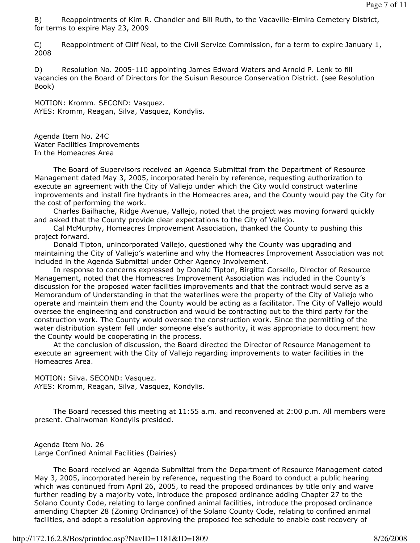B) Reappointments of Kim R. Chandler and Bill Ruth, to the Vacaville-Elmira Cemetery District, for terms to expire May 23, 2009

C) Reappointment of Cliff Neal, to the Civil Service Commission, for a term to expire January 1, 2008

D) Resolution No. 2005-110 appointing James Edward Waters and Arnold P. Lenk to fill vacancies on the Board of Directors for the Suisun Resource Conservation District. (see Resolution Book)

MOTION: Kromm. SECOND: Vasquez. AYES: Kromm, Reagan, Silva, Vasquez, Kondylis.

Agenda Item No. 24C Water Facilities Improvements In the Homeacres Area

 The Board of Supervisors received an Agenda Submittal from the Department of Resource Management dated May 3, 2005, incorporated herein by reference, requesting authorization to execute an agreement with the City of Vallejo under which the City would construct waterline improvements and install fire hydrants in the Homeacres area, and the County would pay the City for the cost of performing the work.

 Charles Bailhache, Ridge Avenue, Vallejo, noted that the project was moving forward quickly and asked that the County provide clear expectations to the City of Vallejo.

 Cal McMurphy, Homeacres Improvement Association, thanked the County to pushing this project forward.

 Donald Tipton, unincorporated Vallejo, questioned why the County was upgrading and maintaining the City of Vallejo's waterline and why the Homeacres Improvement Association was not included in the Agenda Submittal under Other Agency Involvement.

 In response to concerns expressed by Donald Tipton, Birgitta Corsello, Director of Resource Management, noted that the Homeacres Improvement Association was included in the County's discussion for the proposed water facilities improvements and that the contract would serve as a Memorandum of Understanding in that the waterlines were the property of the City of Vallejo who operate and maintain them and the County would be acting as a facilitator. The City of Vallejo would oversee the engineering and construction and would be contracting out to the third party for the construction work. The County would oversee the construction work. Since the permitting of the water distribution system fell under someone else's authority, it was appropriate to document how the County would be cooperating in the process.

 At the conclusion of discussion, the Board directed the Director of Resource Management to execute an agreement with the City of Vallejo regarding improvements to water facilities in the Homeacres Area.

MOTION: Silva. SECOND: Vasquez. AYES: Kromm, Reagan, Silva, Vasquez, Kondylis.

 The Board recessed this meeting at 11:55 a.m. and reconvened at 2:00 p.m. All members were present. Chairwoman Kondylis presided.

Agenda Item No. 26 Large Confined Animal Facilities (Dairies)

 The Board received an Agenda Submittal from the Department of Resource Management dated May 3, 2005, incorporated herein by reference, requesting the Board to conduct a public hearing which was continued from April 26, 2005, to read the proposed ordinances by title only and waive further reading by a majority vote, introduce the proposed ordinance adding Chapter 27 to the Solano County Code, relating to large confined animal facilities, introduce the proposed ordinance amending Chapter 28 (Zoning Ordinance) of the Solano County Code, relating to confined animal facilities, and adopt a resolution approving the proposed fee schedule to enable cost recovery of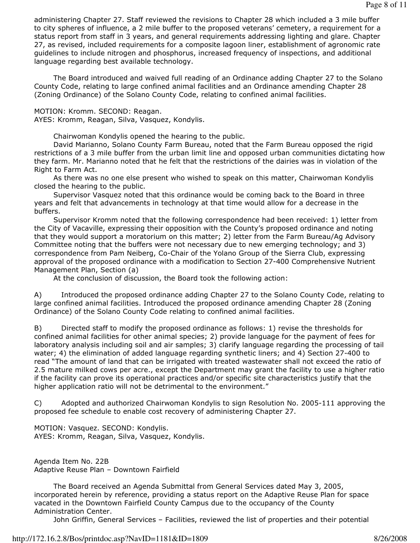administering Chapter 27. Staff reviewed the revisions to Chapter 28 which included a 3 mile buffer to city spheres of influence, a 2 mile buffer to the proposed veterans' cemetery, a requirement for a status report from staff in 3 years, and general requirements addressing lighting and glare. Chapter 27, as revised, included requirements for a composite lagoon liner, establishment of agronomic rate guidelines to include nitrogen and phosphorus, increased frequency of inspections, and additional language regarding best available technology.

 The Board introduced and waived full reading of an Ordinance adding Chapter 27 to the Solano County Code, relating to large confined animal facilities and an Ordinance amending Chapter 28 (Zoning Ordinance) of the Solano County Code, relating to confined animal facilities.

MOTION: Kromm. SECOND: Reagan.

AYES: Kromm, Reagan, Silva, Vasquez, Kondylis.

Chairwoman Kondylis opened the hearing to the public.

 David Marianno, Solano County Farm Bureau, noted that the Farm Bureau opposed the rigid restrictions of a 3 mile buffer from the urban limit line and opposed urban communities dictating how they farm. Mr. Marianno noted that he felt that the restrictions of the dairies was in violation of the Right to Farm Act.

 As there was no one else present who wished to speak on this matter, Chairwoman Kondylis closed the hearing to the public.

 Supervisor Vasquez noted that this ordinance would be coming back to the Board in three years and felt that advancements in technology at that time would allow for a decrease in the buffers.

 Supervisor Kromm noted that the following correspondence had been received: 1) letter from the City of Vacaville, expressing their opposition with the County's proposed ordinance and noting that they would support a moratorium on this matter; 2) letter from the Farm Bureau/Ag Advisory Committee noting that the buffers were not necessary due to new emerging technology; and 3) correspondence from Pam Neiberg, Co-Chair of the Yolano Group of the Sierra Club, expressing approval of the proposed ordinance with a modification to Section 27-400 Comprehensive Nutrient Management Plan, Section (a)

At the conclusion of discussion, the Board took the following action:

A) Introduced the proposed ordinance adding Chapter 27 to the Solano County Code, relating to large confined animal facilities. Introduced the proposed ordinance amending Chapter 28 (Zoning Ordinance) of the Solano County Code relating to confined animal facilities.

B) Directed staff to modify the proposed ordinance as follows: 1) revise the thresholds for confined animal facilities for other animal species; 2) provide language for the payment of fees for laboratory analysis including soil and air samples; 3) clarify language regarding the processing of tail water; 4) the elimination of added language regarding synthetic liners; and 4) Section 27-400 to read "The amount of land that can be irrigated with treated wastewater shall not exceed the ratio of 2.5 mature milked cows per acre., except the Department may grant the facility to use a higher ratio if the facility can prove its operational practices and/or specific site characteristics justify that the higher application ratio will not be detrimental to the environment."

C) Adopted and authorized Chairwoman Kondylis to sign Resolution No. 2005-111 approving the proposed fee schedule to enable cost recovery of administering Chapter 27.

MOTION: Vasquez. SECOND: Kondylis. AYES: Kromm, Reagan, Silva, Vasquez, Kondylis.

Agenda Item No. 22B Adaptive Reuse Plan – Downtown Fairfield

 The Board received an Agenda Submittal from General Services dated May 3, 2005, incorporated herein by reference, providing a status report on the Adaptive Reuse Plan for space vacated in the Downtown Fairfield County Campus due to the occupancy of the County Administration Center.

John Griffin, General Services – Facilities, reviewed the list of properties and their potential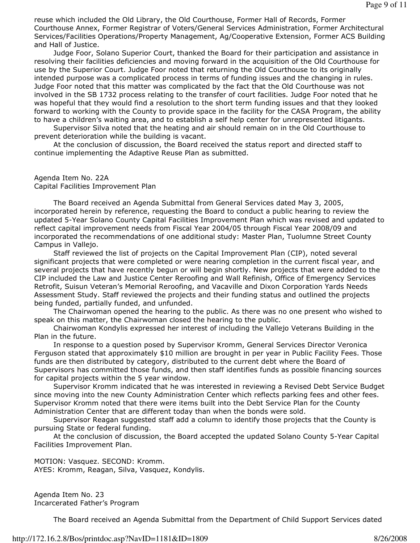reuse which included the Old Library, the Old Courthouse, Former Hall of Records, Former Courthouse Annex, Former Registrar of Voters/General Services Administration, Former Architectural Services/Facilities Operations/Property Management, Ag/Cooperative Extension, Former ACS Building and Hall of Justice.

 Judge Foor, Solano Superior Court, thanked the Board for their participation and assistance in resolving their facilities deficiencies and moving forward in the acquisition of the Old Courthouse for use by the Superior Court. Judge Foor noted that returning the Old Courthouse to its originally intended purpose was a complicated process in terms of funding issues and the changing in rules. Judge Foor noted that this matter was complicated by the fact that the Old Courthouse was not involved in the SB 1732 process relating to the transfer of court facilities. Judge Foor noted that he was hopeful that they would find a resolution to the short term funding issues and that they looked forward to working with the County to provide space in the facility for the CASA Program, the ability to have a children's waiting area, and to establish a self help center for unrepresented litigants.

 Supervisor Silva noted that the heating and air should remain on in the Old Courthouse to prevent deterioration while the building is vacant.

 At the conclusion of discussion, the Board received the status report and directed staff to continue implementing the Adaptive Reuse Plan as submitted.

Agenda Item No. 22A Capital Facilities Improvement Plan

 The Board received an Agenda Submittal from General Services dated May 3, 2005, incorporated herein by reference, requesting the Board to conduct a public hearing to review the updated 5-Year Solano County Capital Facilities Improvement Plan which was revised and updated to reflect capital improvement needs from Fiscal Year 2004/05 through Fiscal Year 2008/09 and incorporated the recommendations of one additional study: Master Plan, Tuolumne Street County Campus in Vallejo.

 Staff reviewed the list of projects on the Capital Improvement Plan (CIP), noted several significant projects that were completed or were nearing completion in the current fiscal year, and several projects that have recently begun or will begin shortly. New projects that were added to the CIP included the Law and Justice Center Reroofing and Wall Refinish, Office of Emergency Services Retrofit, Suisun Veteran's Memorial Reroofing, and Vacaville and Dixon Corporation Yards Needs Assessment Study. Staff reviewed the projects and their funding status and outlined the projects being funded, partially funded, and unfunded.

 The Chairwoman opened the hearing to the public. As there was no one present who wished to speak on this matter, the Chairwoman closed the hearing to the public.

 Chairwoman Kondylis expressed her interest of including the Vallejo Veterans Building in the Plan in the future.

 In response to a question posed by Supervisor Kromm, General Services Director Veronica Ferguson stated that approximately \$10 million are brought in per year in Public Facility Fees. Those funds are then distributed by category, distributed to the current debt where the Board of Supervisors has committed those funds, and then staff identifies funds as possible financing sources for capital projects within the 5 year window.

 Supervisor Kromm indicated that he was interested in reviewing a Revised Debt Service Budget since moving into the new County Administration Center which reflects parking fees and other fees. Supervisor Kromm noted that there were items built into the Debt Service Plan for the County Administration Center that are different today than when the bonds were sold.

 Supervisor Reagan suggested staff add a column to identify those projects that the County is pursuing State or federal funding.

 At the conclusion of discussion, the Board accepted the updated Solano County 5-Year Capital Facilities Improvement Plan.

MOTION: Vasquez. SECOND: Kromm. AYES: Kromm, Reagan, Silva, Vasquez, Kondylis.

Agenda Item No. 23 Incarcerated Father's Program

The Board received an Agenda Submittal from the Department of Child Support Services dated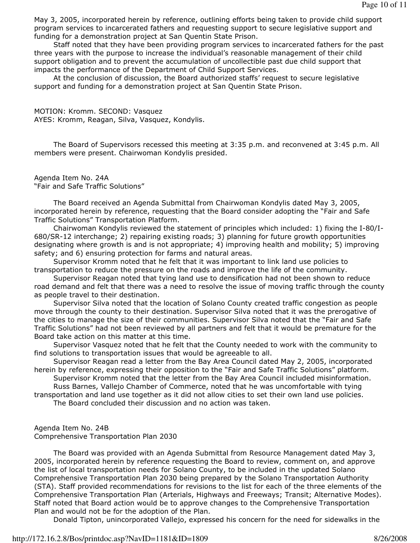May 3, 2005, incorporated herein by reference, outlining efforts being taken to provide child support program services to incarcerated fathers and requesting support to secure legislative support and funding for a demonstration project at San Quentin State Prison.

 Staff noted that they have been providing program services to incarcerated fathers for the past three years with the purpose to increase the individual's reasonable management of their child support obligation and to prevent the accumulation of uncollectible past due child support that impacts the performance of the Department of Child Support Services.

 At the conclusion of discussion, the Board authorized staffs' request to secure legislative support and funding for a demonstration project at San Quentin State Prison.

MOTION: Kromm. SECOND: Vasquez AYES: Kromm, Reagan, Silva, Vasquez, Kondylis.

 The Board of Supervisors recessed this meeting at 3:35 p.m. and reconvened at 3:45 p.m. All members were present. Chairwoman Kondylis presided.

Agenda Item No. 24A "Fair and Safe Traffic Solutions"

 The Board received an Agenda Submittal from Chairwoman Kondylis dated May 3, 2005, incorporated herein by reference, requesting that the Board consider adopting the "Fair and Safe Traffic Solutions" Transportation Platform.

 Chairwoman Kondylis reviewed the statement of principles which included: 1) fixing the I-80/I-680/SR-12 interchange; 2) repairing existing roads; 3) planning for future growth opportunities designating where growth is and is not appropriate; 4) improving health and mobility; 5) improving safety; and 6) ensuring protection for farms and natural areas.

 Supervisor Kromm noted that he felt that it was important to link land use policies to transportation to reduce the pressure on the roads and improve the life of the community.

 Supervisor Reagan noted that tying land use to densification had not been shown to reduce road demand and felt that there was a need to resolve the issue of moving traffic through the county as people travel to their destination.

 Supervisor Silva noted that the location of Solano County created traffic congestion as people move through the county to their destination. Supervisor Silva noted that it was the prerogative of the cities to manage the size of their communities. Supervisor Silva noted that the "Fair and Safe Traffic Solutions" had not been reviewed by all partners and felt that it would be premature for the Board take action on this matter at this time.

 Supervisor Vasquez noted that he felt that the County needed to work with the community to find solutions to transportation issues that would be agreeable to all.

 Supervisor Reagan read a letter from the Bay Area Council dated May 2, 2005, incorporated herein by reference, expressing their opposition to the "Fair and Safe Traffic Solutions" platform.

 Supervisor Kromm noted that the letter from the Bay Area Council included misinformation. Russ Barnes, Vallejo Chamber of Commerce, noted that he was uncomfortable with tying

transportation and land use together as it did not allow cities to set their own land use policies. The Board concluded their discussion and no action was taken.

## Agenda Item No. 24B Comprehensive Transportation Plan 2030

 The Board was provided with an Agenda Submittal from Resource Management dated May 3, 2005, incorporated herein by reference requesting the Board to review, comment on, and approve the list of local transportation needs for Solano County, to be included in the updated Solano Comprehensive Transportation Plan 2030 being prepared by the Solano Transportation Authority (STA). Staff provided recommendations for revisions to the list for each of the three elements of the Comprehensive Transportation Plan (Arterials, Highways and Freeways; Transit; Alternative Modes). Staff noted that Board action would be to approve changes to the Comprehensive Transportation Plan and would not be for the adoption of the Plan.

Donald Tipton, unincorporated Vallejo, expressed his concern for the need for sidewalks in the